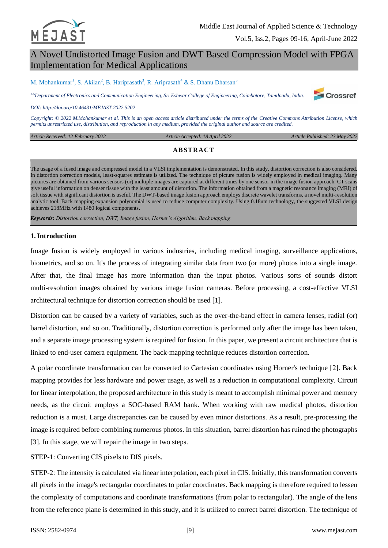

# A Novel Undistorted Image Fusion and DWT Based Compression Model with FPGA Implementation for Medical Applications

M. Mohankumar<sup>1</sup>, S. Akilan<sup>2</sup>, B. Hariprasath<sup>3</sup>, R. Ariprasath<sup>4</sup> & S. Dhanu Dharsan<sup>5</sup>

*1-5Department of Electronics and Communication Engineering, Sri Eshwar College of Engineering, Coimbatore, Tamilnadu, India.*



*DOI: http://doi.org/10.46431/MEJAST.2022.5202*

*Copyright: © 2022 M.Mohankumar et al. This is an open access article distributed under the terms of the [Creative Commons Attribution License,](https://creativecommons.org/licenses/by-sa/4.0/) which permits unrestricted use, distribution, and reproduction in any medium, provided the original author and source are credited.* 

| le Received: 12 February 2022 | Article Accepted: 18 April 2022 | Article Published: 23 May 2022 |
|-------------------------------|---------------------------------|--------------------------------|
|                               |                                 |                                |

# **AB STRAC T**

The usage of a fused image and compressed model in a VLSI implementation is demonstrated. In this study, distortion correction is also considered. In distortion correction models, least-squares estimate is utilized. The technique of picture fusion is widely employed in medical imaging. Many pictures are obtained from various sensors (or) multiple images are captured at different times by one sensor in the image fusion approach. CT scans give useful information on denser tissue with the least amount of distortion. The information obtained from a magnetic resonance imaging (MRI) of soft tissue with significant distortion is useful. The DWT-based image fusion approach employs discrete wavelet transforms, a novel multi-resolution analytic tool. Back mapping expansion polynomial is used to reduce computer complexity. Using 0.18um technology, the suggested VLSI design achieves 218MHz with 1480 logical components.

*Keywords: Distortion correction, DWT, Image fusion, Horner's Algorithm, Back mapping.*

## **1.Introduction**

*Article Received: 12 February 2022* 

Image fusion is widely employed in various industries, including medical imaging, surveillance applications, biometrics, and so on. It's the process of integrating similar data from two (or more) photos into a single image. After that, the final image has more information than the input photos. Various sorts of sounds distort multi-resolution images obtained by various image fusion cameras. Before processing, a cost-effective VLSI architectural technique for distortion correction should be used [1].

Distortion can be caused by a variety of variables, such as the over-the-band effect in camera lenses, radial (or) barrel distortion, and so on. Traditionally, distortion correction is performed only after the image has been taken, and a separate image processing system is required for fusion. In this paper, we present a circuit architecture that is linked to end-user camera equipment. The back-mapping technique reduces distortion correction.

A polar coordinate transformation can be converted to Cartesian coordinates using Horner's technique [2]. Back mapping provides for less hardware and power usage, as well as a reduction in computational complexity. Circuit for linear interpolation, the proposed architecture in this study is meant to accomplish minimal power and memory needs, as the circuit employs a SOC-based RAM bank. When working with raw medical photos, distortion reduction is a must. Large discrepancies can be caused by even minor distortions. As a result, pre-processing the image is required before combining numerous photos. In this situation, barrel distortion has ruined the photographs [3]. In this stage, we will repair the image in two steps.

STEP-1: Converting CIS pixels to DIS pixels.

STEP-2: The intensity is calculated via linear interpolation, each pixel in CIS. Initially, this transformation converts all pixels in the image's rectangular coordinates to polar coordinates. Back mapping is therefore required to lessen the complexity of computations and coordinate transformations (from polar to rectangular). The angle of the lens from the reference plane is determined in this study, and it is utilized to correct barrel distortion. The technique of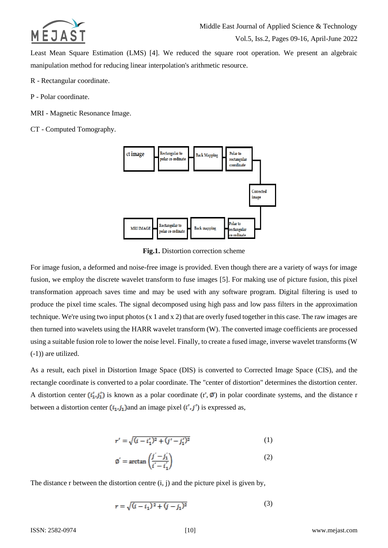

Least Mean Square Estimation (LMS) [4]. We reduced the square root operation. We present an algebraic manipulation method for reducing linear interpolation's arithmetic resource.

- R Rectangular coordinate.
- P Polar coordinate.
- MRI Magnetic Resonance Image.
- CT Computed Tomography.



**Fig.1.** Distortion correction scheme

For image fusion, a deformed and noise-free image is provided. Even though there are a variety of ways for image fusion, we employ the discrete wavelet transform to fuse images [5]. For making use of picture fusion, this pixel transformation approach saves time and may be used with any software program. Digital filtering is used to produce the pixel time scales. The signal decomposed using high pass and low pass filters in the approximation technique. We're using two input photos (x 1 and x 2) that are overly fused together in this case. The raw images are then turned into wavelets using the HARR wavelet transform (W). The converted image coefficients are processed using a suitable fusion role to lower the noise level. Finally, to create a fused image, inverse wavelet transforms (W (-1)) are utilized.

As a result, each pixel in Distortion Image Space (DIS) is converted to Corrected Image Space (CIS), and the rectangle coordinate is converted to a polar coordinate. The "center of distortion" determines the distortion center. A distortion center  $(i'_1, j'_1)$  is known as a polar coordinate (r',  $\phi$ ) in polar coordinate systems, and the distance r between a distortion center  $(i_1, j_1)$  and an image pixel  $(i', j')$  is expressed as,

$$
r' = \sqrt{(i - i'_1)^2 + (j' - j'_1)^2}
$$
 (1)

$$
\emptyset' = \arctan\left(\frac{j'-j'_1}{i'-i'_1}\right) \tag{2}
$$

The distance r between the distortion centre (i, j) and the picture pixel is given by,

$$
r = \sqrt{(i - i_1)^2 + (j - j_1)^2} \tag{3}
$$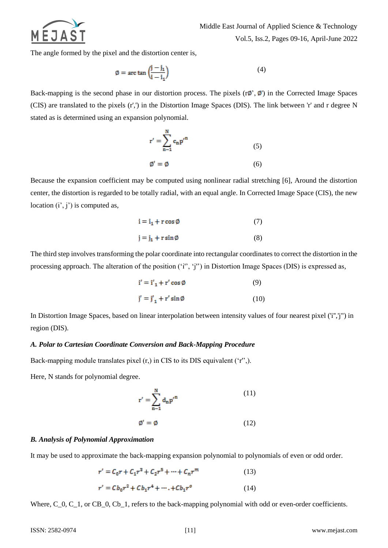

Middle East Journal of Applied Science & Technology

Vol.5, Iss.2, Pages 09-16, April-June 2022

The angle formed by the pixel and the distortion center is,

$$
\emptyset = \arctan\left(\frac{j - j_1}{i - i_1}\right) \tag{4}
$$

Back-mapping is the second phase in our distortion process. The pixels  $(r\phi', \phi')$  in the Corrected Image Spaces (CIS) are translated to the pixels (r',') in the Distortion Image Spaces (DIS). The link between 'r' and r degree N stated as is determined using an expansion polynomial.

$$
r' = \sum_{n=1}^{N} c_n p'^n
$$
  
(5)  

$$
\emptyset' = \emptyset
$$

Because the expansion coefficient may be computed using nonlinear radial stretching [6], Around the distortion center, the distortion is regarded to be totally radial, with an equal angle. In Corrected Image Space (CIS), the new location  $(i', j')$  is computed as,

$$
i = i1 + r cos \emptyset
$$
 (7)  

$$
j = j1 + r sin \emptyset
$$
 (8)

The third step involves transforming the polar coordinate into rectangular coordinates to correct the distortion in the processing approach. The alteration of the position ('i'', 'j'') in Distortion Image Spaces (DIS) is expressed as,

$$
\mathbf{i}' = \mathbf{i}'_1 + \mathbf{r}' \cos \emptyset \tag{9}
$$

$$
\mathbf{j}' = \mathbf{j}'_1 + \mathbf{r}' \sin \emptyset \tag{10}
$$

In Distortion Image Spaces, based on linear interpolation between intensity values of four nearest pixel ('i'','j") in region (DIS).

#### *A. Polar to Cartesian Coordinate Conversion and Back-Mapping Procedure*

Back-mapping module translates pixel (r,) in CIS to its DIS equivalent ('r'',).

Here, N stands for polynomial degree.

$$
r' = \sum_{n=1}^{N} d_n p'^n
$$
 (11)

$$
\mathbf{\emptyset}' = \mathbf{\emptyset} \tag{12}
$$

## *B. Analysis of Polynomial Approximation*

It may be used to approximate the back-mapping expansion polynomial to polynomials of even or odd order.

$$
r' = C_0 r + C_1 r^3 + C_2 r^5 + \dots + C_n r^m \tag{13}
$$

$$
r' = C b_0 r^2 + C b_1 r^4 + \dots + C b_1 r^0 \tag{14}
$$

Where, C<sub>\_0</sub>, C\_1, or CB\_0, Cb\_1, refers to the back-mapping polynomial with odd or even-order coefficients.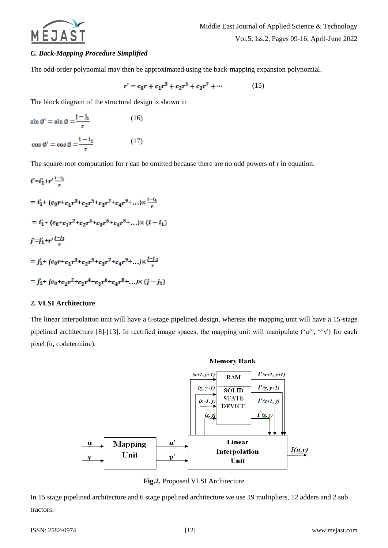

# *C. Back-Mapping Procedure Simplified*

The odd-order polynomial may then be approximated using the back-mapping expansion polynomial.

$$
r' = c_0 r + c_1 r^3 + c_2 r^5 + c_3 r^7 + \cdots \tag{15}
$$

The block diagram of the structural design is shown in

$$
\sin \varnothing' = \sin \varnothing = \frac{j - j_1}{r}
$$
 (16)  
\n
$$
\cos \varnothing' = \cos \varnothing = \frac{i - i_1}{r}
$$
 (17)

The square-root computation for r can be omitted because there are no odd powers of r in equation.

$$
i' = i'_1 + r' \frac{i - i_1}{r}
$$
  
=  $i'_1 + (c_0r + c_1r^3 + c_2r^5 + c_3r^7 + c_4r^9 + ...) \times \frac{i - i_1}{r}$   
=  $i'_1 + (c_0 + c_1r^2 + c_2r^4 + c_3r^6 + c_4r^8 + ...) \times (i - i_1)$   
 $j' = j'_1 + r' \frac{j - j_1}{r}$   
=  $j'_1 + (c_0r + c_1r^3 + c_2r^5 + c_3r^7 + c_4r^9 + ...) \times \frac{j - j_1}{r}$   
=  $j'_1 + (c_0 + c_1r^2 + c_2r^4 + c_3r^6 + c_4r^8 + ...) \times (j - j_1)$ 

#### **2. VLSI Architecture**

The linear interpolation unit will have a 6-stage pipelined design, whereas the mapping unit will have a 15-stage pipelined architecture [8]-[13]. In rectified image spaces, the mapping unit will manipulate ( $\langle u^{\wedge}$ ,  $\langle \wedge v^{\wedge} v \rangle$ ) for each pixel (u, codetermine).



**Fig.2.** Proposed VLSI Architecture

In 15 stage pipelined architecture and 6 stage pipelined architecture we use 19 multipliers, 12 adders and 2 sub tractors.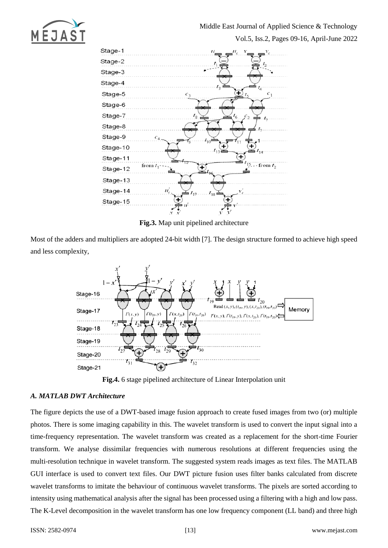



**Fig.3.** Map unit pipelined architecture

Most of the adders and multipliers are adopted 24-bit width [7]. The design structure formed to achieve high speed and less complexity,



**Fig.4.** 6 stage pipelined architecture of Linear Interpolation unit

# *A. MATLAB DWT Architecture*

The figure depicts the use of a DWT-based image fusion approach to create fused images from two (or) multiple photos. There is some imaging capability in this. The wavelet transform is used to convert the input signal into a time-frequency representation. The wavelet transform was created as a replacement for the short-time Fourier transform. We analyse dissimilar frequencies with numerous resolutions at different frequencies using the multi-resolution technique in wavelet transform. The suggested system reads images as text files. The MATLAB GUI interface is used to convert text files. Our DWT picture fusion uses filter banks calculated from discrete wavelet transforms to imitate the behaviour of continuous wavelet transforms. The pixels are sorted according to intensity using mathematical analysis after the signal has been processed using a filtering with a high and low pass. The K-Level decomposition in the wavelet transform has one low frequency component (LL band) and three high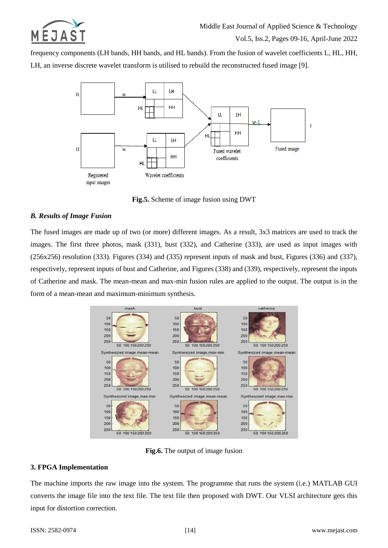

frequency components (LH bands, HH bands, and HL bands). From the fusion of wavelet coefficients L, HL, HH, LH, an inverse discrete wavelet transform is utilised to rebuild the reconstructed fused image [9].



**Fig.5.** Scheme of image fusion using DWT

# *B. Results of Image Fusion*

The fused images are made up of two (or more) different images. As a result, 3x3 matrices are used to track the images. The first three photos, mask (331), bust (332), and Catherine (333), are used as input images with (256x256) resolution (333). Figures (334) and (335) represent inputs of mask and bust, Figures (336) and (337), respectively, represent inputs of bust and Catherine, and Figures (338) and (339), respectively, represent the inputs of Catherine and mask. The mean-mean and max-min fusion rules are applied to the output. The output is in the form of a mean-mean and maximum-minimum synthesis.



**Fig.6.** The output of image fusion

## **3. FPGA Implementation**

The machine imports the raw image into the system. The programme that runs the system (i.e.) MATLAB GUI converts the image file into the text file. The text file then proposed with DWT. Our VLSI architecture gets this input for distortion correction.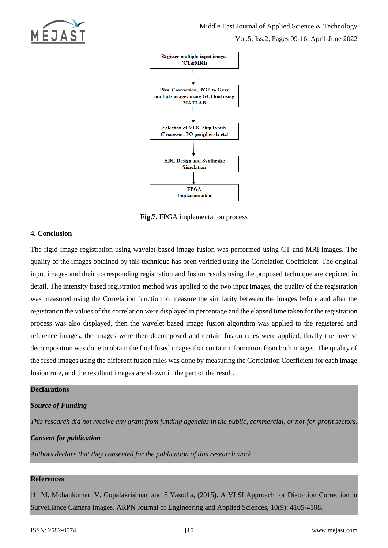



**Fig.7.** FPGA implementation process

# **4. Conclusion**

The rigid image registration using wavelet based image fusion was performed using CT and MRI images. The quality of the images obtained by this technique has been verified using the Correlation Coefficient. The original input images and their corresponding registration and fusion results using the proposed technique are depicted in detail. The intensity based registration method was applied to the two input images, the quality of the registration was measured using the Correlation function to measure the similarity between the images before and after the registration the values of the correlation were displayed in percentage and the elapsed time taken for the registration process was also displayed, then the wavelet based image fusion algorithm was applied to the registered and reference images, the images were then decomposed and certain fusion rules were applied, finally the inverse decomposition was done to obtain the final fused images that contain information from both images. The quality of the fused images using the different fusion rules was done by measuring the Correlation Coefficient for each image fusion rule, and the resultant images are shown in the part of the result.

# **Declarations**

## *Source of Funding*

*This research did not receive any grant from funding agencies in the public, commercial, or not-for-profit sectors.*

## *Consent for publication*

*Authors declare that they consented for the publication of this research work.* 

## **References**

[1] M. Mohankumar, V. Gopalakrishnan and S.Yasotha, (2015). A VLSI Approach for Distortion Correction in Surveillance Camera Images. ARPN Journal of Engineering and Applied Sciences, 10(9): 4105-4108.